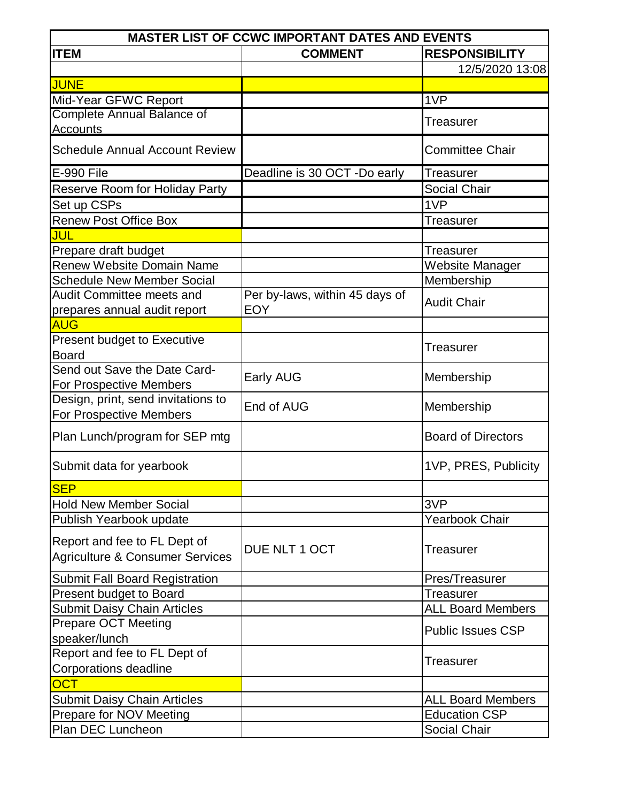|                                                                            | <b>MASTER LIST OF CCWC IMPORTANT DATES AND EVENTS</b> |                           |
|----------------------------------------------------------------------------|-------------------------------------------------------|---------------------------|
| <b>ITEM</b>                                                                | <b>COMMENT</b>                                        | <b>RESPONSIBILITY</b>     |
|                                                                            |                                                       | 12/5/2020 13:08           |
| <b>JUNE</b>                                                                |                                                       |                           |
| Mid-Year GFWC Report                                                       |                                                       | 1VP                       |
| Complete Annual Balance of                                                 |                                                       | Treasurer                 |
| <b>Accounts</b>                                                            |                                                       |                           |
| <b>Schedule Annual Account Review</b>                                      |                                                       | <b>Committee Chair</b>    |
| E-990 File                                                                 | Deadline is 30 OCT -Do early                          | <b>Treasurer</b>          |
| <b>Reserve Room for Holiday Party</b>                                      |                                                       | Social Chair              |
| Set up CSPs                                                                |                                                       | 1VP                       |
| <b>Renew Post Office Box</b>                                               |                                                       | <b>Treasurer</b>          |
| JUL                                                                        |                                                       |                           |
| Prepare draft budget                                                       |                                                       | Treasurer                 |
| Renew Website Domain Name                                                  |                                                       | Website Manager           |
| <b>Schedule New Member Social</b>                                          |                                                       | Membership                |
| <b>Audit Committee meets and</b>                                           | Per by-laws, within 45 days of                        | <b>Audit Chair</b>        |
| prepares annual audit report                                               | <b>EOY</b>                                            |                           |
| <b>AUG</b>                                                                 |                                                       |                           |
| <b>Present budget to Executive</b>                                         |                                                       | Treasurer                 |
| <b>Board</b>                                                               |                                                       |                           |
| Send out Save the Date Card-                                               | Early AUG                                             | Membership                |
| For Prospective Members                                                    |                                                       |                           |
| Design, print, send invitations to                                         | End of AUG                                            | Membership                |
| For Prospective Members                                                    |                                                       |                           |
| Plan Lunch/program for SEP mtg                                             |                                                       | <b>Board of Directors</b> |
| Submit data for yearbook                                                   |                                                       | 1VP, PRES, Publicity      |
| <b>SEP</b>                                                                 |                                                       |                           |
| <b>Hold New Member Social</b>                                              |                                                       | 3VP                       |
| Publish Yearbook update                                                    |                                                       | <b>Yearbook Chair</b>     |
| Report and fee to FL Dept of<br><b>Agriculture &amp; Consumer Services</b> | DUE NLT 1 OCT                                         | Treasurer                 |
| <b>Submit Fall Board Registration</b>                                      |                                                       | Pres/Treasurer            |
| Present budget to Board                                                    |                                                       | Treasurer                 |
| <b>Submit Daisy Chain Articles</b>                                         |                                                       | <b>ALL Board Members</b>  |
| <b>Prepare OCT Meeting</b>                                                 |                                                       |                           |
| speaker/lunch                                                              |                                                       | <b>Public Issues CSP</b>  |
| Report and fee to FL Dept of                                               |                                                       |                           |
| Corporations deadline                                                      |                                                       | Treasurer                 |
| <b>OCT</b>                                                                 |                                                       |                           |
| <b>Submit Daisy Chain Articles</b>                                         |                                                       | <b>ALL Board Members</b>  |
| Prepare for NOV Meeting                                                    |                                                       | <b>Education CSP</b>      |
| Plan DEC Luncheon                                                          |                                                       | Social Chair              |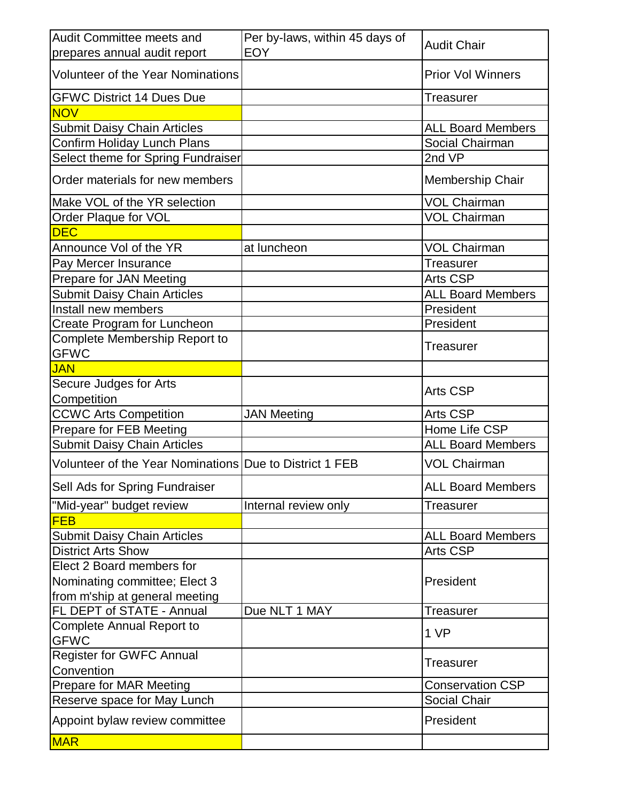| <b>EOY</b><br>Volunteer of the Year Nominations<br><b>Prior Vol Winners</b><br><b>GFWC District 14 Dues Due</b><br><b>Treasurer</b><br><b>NOV</b><br><b>Submit Daisy Chain Articles</b><br><b>ALL Board Members</b><br>Confirm Holiday Lunch Plans<br>Social Chairman<br>Select theme for Spring Fundraiser<br>2nd VP<br>Order materials for new members<br>Membership Chair<br><b>VOL Chairman</b><br><b>VOL Chairman</b><br>Order Plaque for VOL<br><b>DEC</b><br>Announce Vol of the YR<br><b>VOL Chairman</b><br>at luncheon<br>Pay Mercer Insurance<br>Treasurer<br>Prepare for JAN Meeting<br><b>Arts CSP</b><br><b>Submit Daisy Chain Articles</b><br><b>ALL Board Members</b><br>Install new members<br>President<br>Create Program for Luncheon<br>President<br>Complete Membership Report to<br><b>Treasurer</b><br><b>GFWC</b><br><b>JAN</b><br>Secure Judges for Arts<br><b>Arts CSP</b><br>Competition<br><b>CCWC Arts Competition</b><br><b>JAN Meeting</b><br><b>Arts CSP</b><br>Prepare for FEB Meeting<br>Home Life CSP<br><b>ALL Board Members</b><br>Volunteer of the Year Nominations Due to District 1 FEB<br><b>VOL Chairman</b><br>Sell Ads for Spring Fundraiser<br><b>ALL Board Members</b><br>Internal review only<br><b>Treasurer</b><br><b>FEB</b><br><b>ALL Board Members</b><br><b>Arts CSP</b><br><b>District Arts Show</b><br>Nominating committee; Elect 3<br>President<br>FL DEPT of STATE - Annual<br>Due NLT 1 MAY<br><b>Treasurer</b><br><b>Complete Annual Report to</b><br>1 VP<br><b>GFWC</b><br><b>Register for GWFC Annual</b><br>Treasurer<br>Convention<br>Prepare for MAR Meeting<br><b>Conservation CSP</b><br>Social Chair<br>Reserve space for May Lunch<br>President | <b>Audit Committee meets and</b>   | Per by-laws, within 45 days of | <b>Audit Chair</b> |
|-----------------------------------------------------------------------------------------------------------------------------------------------------------------------------------------------------------------------------------------------------------------------------------------------------------------------------------------------------------------------------------------------------------------------------------------------------------------------------------------------------------------------------------------------------------------------------------------------------------------------------------------------------------------------------------------------------------------------------------------------------------------------------------------------------------------------------------------------------------------------------------------------------------------------------------------------------------------------------------------------------------------------------------------------------------------------------------------------------------------------------------------------------------------------------------------------------------------------------------------------------------------------------------------------------------------------------------------------------------------------------------------------------------------------------------------------------------------------------------------------------------------------------------------------------------------------------------------------------------------------------------------------------------------------------------------------------------------------|------------------------------------|--------------------------------|--------------------|
|                                                                                                                                                                                                                                                                                                                                                                                                                                                                                                                                                                                                                                                                                                                                                                                                                                                                                                                                                                                                                                                                                                                                                                                                                                                                                                                                                                                                                                                                                                                                                                                                                                                                                                                       | prepares annual audit report       |                                |                    |
|                                                                                                                                                                                                                                                                                                                                                                                                                                                                                                                                                                                                                                                                                                                                                                                                                                                                                                                                                                                                                                                                                                                                                                                                                                                                                                                                                                                                                                                                                                                                                                                                                                                                                                                       |                                    |                                |                    |
|                                                                                                                                                                                                                                                                                                                                                                                                                                                                                                                                                                                                                                                                                                                                                                                                                                                                                                                                                                                                                                                                                                                                                                                                                                                                                                                                                                                                                                                                                                                                                                                                                                                                                                                       |                                    |                                |                    |
|                                                                                                                                                                                                                                                                                                                                                                                                                                                                                                                                                                                                                                                                                                                                                                                                                                                                                                                                                                                                                                                                                                                                                                                                                                                                                                                                                                                                                                                                                                                                                                                                                                                                                                                       |                                    |                                |                    |
|                                                                                                                                                                                                                                                                                                                                                                                                                                                                                                                                                                                                                                                                                                                                                                                                                                                                                                                                                                                                                                                                                                                                                                                                                                                                                                                                                                                                                                                                                                                                                                                                                                                                                                                       |                                    |                                |                    |
|                                                                                                                                                                                                                                                                                                                                                                                                                                                                                                                                                                                                                                                                                                                                                                                                                                                                                                                                                                                                                                                                                                                                                                                                                                                                                                                                                                                                                                                                                                                                                                                                                                                                                                                       |                                    |                                |                    |
|                                                                                                                                                                                                                                                                                                                                                                                                                                                                                                                                                                                                                                                                                                                                                                                                                                                                                                                                                                                                                                                                                                                                                                                                                                                                                                                                                                                                                                                                                                                                                                                                                                                                                                                       |                                    |                                |                    |
|                                                                                                                                                                                                                                                                                                                                                                                                                                                                                                                                                                                                                                                                                                                                                                                                                                                                                                                                                                                                                                                                                                                                                                                                                                                                                                                                                                                                                                                                                                                                                                                                                                                                                                                       |                                    |                                |                    |
|                                                                                                                                                                                                                                                                                                                                                                                                                                                                                                                                                                                                                                                                                                                                                                                                                                                                                                                                                                                                                                                                                                                                                                                                                                                                                                                                                                                                                                                                                                                                                                                                                                                                                                                       | Make VOL of the YR selection       |                                |                    |
|                                                                                                                                                                                                                                                                                                                                                                                                                                                                                                                                                                                                                                                                                                                                                                                                                                                                                                                                                                                                                                                                                                                                                                                                                                                                                                                                                                                                                                                                                                                                                                                                                                                                                                                       |                                    |                                |                    |
|                                                                                                                                                                                                                                                                                                                                                                                                                                                                                                                                                                                                                                                                                                                                                                                                                                                                                                                                                                                                                                                                                                                                                                                                                                                                                                                                                                                                                                                                                                                                                                                                                                                                                                                       |                                    |                                |                    |
|                                                                                                                                                                                                                                                                                                                                                                                                                                                                                                                                                                                                                                                                                                                                                                                                                                                                                                                                                                                                                                                                                                                                                                                                                                                                                                                                                                                                                                                                                                                                                                                                                                                                                                                       |                                    |                                |                    |
|                                                                                                                                                                                                                                                                                                                                                                                                                                                                                                                                                                                                                                                                                                                                                                                                                                                                                                                                                                                                                                                                                                                                                                                                                                                                                                                                                                                                                                                                                                                                                                                                                                                                                                                       |                                    |                                |                    |
|                                                                                                                                                                                                                                                                                                                                                                                                                                                                                                                                                                                                                                                                                                                                                                                                                                                                                                                                                                                                                                                                                                                                                                                                                                                                                                                                                                                                                                                                                                                                                                                                                                                                                                                       |                                    |                                |                    |
|                                                                                                                                                                                                                                                                                                                                                                                                                                                                                                                                                                                                                                                                                                                                                                                                                                                                                                                                                                                                                                                                                                                                                                                                                                                                                                                                                                                                                                                                                                                                                                                                                                                                                                                       |                                    |                                |                    |
|                                                                                                                                                                                                                                                                                                                                                                                                                                                                                                                                                                                                                                                                                                                                                                                                                                                                                                                                                                                                                                                                                                                                                                                                                                                                                                                                                                                                                                                                                                                                                                                                                                                                                                                       |                                    |                                |                    |
|                                                                                                                                                                                                                                                                                                                                                                                                                                                                                                                                                                                                                                                                                                                                                                                                                                                                                                                                                                                                                                                                                                                                                                                                                                                                                                                                                                                                                                                                                                                                                                                                                                                                                                                       |                                    |                                |                    |
|                                                                                                                                                                                                                                                                                                                                                                                                                                                                                                                                                                                                                                                                                                                                                                                                                                                                                                                                                                                                                                                                                                                                                                                                                                                                                                                                                                                                                                                                                                                                                                                                                                                                                                                       |                                    |                                |                    |
|                                                                                                                                                                                                                                                                                                                                                                                                                                                                                                                                                                                                                                                                                                                                                                                                                                                                                                                                                                                                                                                                                                                                                                                                                                                                                                                                                                                                                                                                                                                                                                                                                                                                                                                       |                                    |                                |                    |
|                                                                                                                                                                                                                                                                                                                                                                                                                                                                                                                                                                                                                                                                                                                                                                                                                                                                                                                                                                                                                                                                                                                                                                                                                                                                                                                                                                                                                                                                                                                                                                                                                                                                                                                       |                                    |                                |                    |
|                                                                                                                                                                                                                                                                                                                                                                                                                                                                                                                                                                                                                                                                                                                                                                                                                                                                                                                                                                                                                                                                                                                                                                                                                                                                                                                                                                                                                                                                                                                                                                                                                                                                                                                       |                                    |                                |                    |
|                                                                                                                                                                                                                                                                                                                                                                                                                                                                                                                                                                                                                                                                                                                                                                                                                                                                                                                                                                                                                                                                                                                                                                                                                                                                                                                                                                                                                                                                                                                                                                                                                                                                                                                       |                                    |                                |                    |
|                                                                                                                                                                                                                                                                                                                                                                                                                                                                                                                                                                                                                                                                                                                                                                                                                                                                                                                                                                                                                                                                                                                                                                                                                                                                                                                                                                                                                                                                                                                                                                                                                                                                                                                       |                                    |                                |                    |
|                                                                                                                                                                                                                                                                                                                                                                                                                                                                                                                                                                                                                                                                                                                                                                                                                                                                                                                                                                                                                                                                                                                                                                                                                                                                                                                                                                                                                                                                                                                                                                                                                                                                                                                       |                                    |                                |                    |
|                                                                                                                                                                                                                                                                                                                                                                                                                                                                                                                                                                                                                                                                                                                                                                                                                                                                                                                                                                                                                                                                                                                                                                                                                                                                                                                                                                                                                                                                                                                                                                                                                                                                                                                       | <b>Submit Daisy Chain Articles</b> |                                |                    |
|                                                                                                                                                                                                                                                                                                                                                                                                                                                                                                                                                                                                                                                                                                                                                                                                                                                                                                                                                                                                                                                                                                                                                                                                                                                                                                                                                                                                                                                                                                                                                                                                                                                                                                                       |                                    |                                |                    |
|                                                                                                                                                                                                                                                                                                                                                                                                                                                                                                                                                                                                                                                                                                                                                                                                                                                                                                                                                                                                                                                                                                                                                                                                                                                                                                                                                                                                                                                                                                                                                                                                                                                                                                                       |                                    |                                |                    |
|                                                                                                                                                                                                                                                                                                                                                                                                                                                                                                                                                                                                                                                                                                                                                                                                                                                                                                                                                                                                                                                                                                                                                                                                                                                                                                                                                                                                                                                                                                                                                                                                                                                                                                                       | "Mid-year" budget review           |                                |                    |
|                                                                                                                                                                                                                                                                                                                                                                                                                                                                                                                                                                                                                                                                                                                                                                                                                                                                                                                                                                                                                                                                                                                                                                                                                                                                                                                                                                                                                                                                                                                                                                                                                                                                                                                       |                                    |                                |                    |
|                                                                                                                                                                                                                                                                                                                                                                                                                                                                                                                                                                                                                                                                                                                                                                                                                                                                                                                                                                                                                                                                                                                                                                                                                                                                                                                                                                                                                                                                                                                                                                                                                                                                                                                       | <b>Submit Daisy Chain Articles</b> |                                |                    |
|                                                                                                                                                                                                                                                                                                                                                                                                                                                                                                                                                                                                                                                                                                                                                                                                                                                                                                                                                                                                                                                                                                                                                                                                                                                                                                                                                                                                                                                                                                                                                                                                                                                                                                                       |                                    |                                |                    |
|                                                                                                                                                                                                                                                                                                                                                                                                                                                                                                                                                                                                                                                                                                                                                                                                                                                                                                                                                                                                                                                                                                                                                                                                                                                                                                                                                                                                                                                                                                                                                                                                                                                                                                                       | Elect 2 Board members for          |                                |                    |
|                                                                                                                                                                                                                                                                                                                                                                                                                                                                                                                                                                                                                                                                                                                                                                                                                                                                                                                                                                                                                                                                                                                                                                                                                                                                                                                                                                                                                                                                                                                                                                                                                                                                                                                       |                                    |                                |                    |
|                                                                                                                                                                                                                                                                                                                                                                                                                                                                                                                                                                                                                                                                                                                                                                                                                                                                                                                                                                                                                                                                                                                                                                                                                                                                                                                                                                                                                                                                                                                                                                                                                                                                                                                       | from m'ship at general meeting     |                                |                    |
|                                                                                                                                                                                                                                                                                                                                                                                                                                                                                                                                                                                                                                                                                                                                                                                                                                                                                                                                                                                                                                                                                                                                                                                                                                                                                                                                                                                                                                                                                                                                                                                                                                                                                                                       |                                    |                                |                    |
|                                                                                                                                                                                                                                                                                                                                                                                                                                                                                                                                                                                                                                                                                                                                                                                                                                                                                                                                                                                                                                                                                                                                                                                                                                                                                                                                                                                                                                                                                                                                                                                                                                                                                                                       |                                    |                                |                    |
|                                                                                                                                                                                                                                                                                                                                                                                                                                                                                                                                                                                                                                                                                                                                                                                                                                                                                                                                                                                                                                                                                                                                                                                                                                                                                                                                                                                                                                                                                                                                                                                                                                                                                                                       |                                    |                                |                    |
|                                                                                                                                                                                                                                                                                                                                                                                                                                                                                                                                                                                                                                                                                                                                                                                                                                                                                                                                                                                                                                                                                                                                                                                                                                                                                                                                                                                                                                                                                                                                                                                                                                                                                                                       |                                    |                                |                    |
|                                                                                                                                                                                                                                                                                                                                                                                                                                                                                                                                                                                                                                                                                                                                                                                                                                                                                                                                                                                                                                                                                                                                                                                                                                                                                                                                                                                                                                                                                                                                                                                                                                                                                                                       |                                    |                                |                    |
|                                                                                                                                                                                                                                                                                                                                                                                                                                                                                                                                                                                                                                                                                                                                                                                                                                                                                                                                                                                                                                                                                                                                                                                                                                                                                                                                                                                                                                                                                                                                                                                                                                                                                                                       | Appoint bylaw review committee     |                                |                    |
|                                                                                                                                                                                                                                                                                                                                                                                                                                                                                                                                                                                                                                                                                                                                                                                                                                                                                                                                                                                                                                                                                                                                                                                                                                                                                                                                                                                                                                                                                                                                                                                                                                                                                                                       | <b>MAR</b>                         |                                |                    |